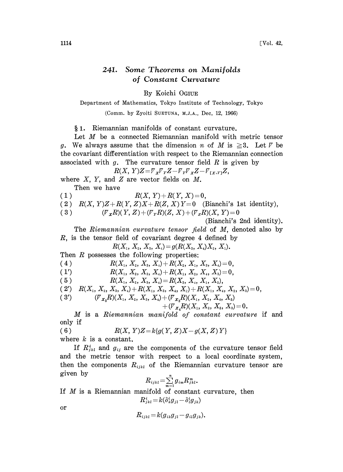## 241. Some Theorems on Manifolds of Constant Curvature

By Koichi OGIUE

Department of Mathematics, Tokyo Institute of Technology, Tokyo

(Comm. by Zyoiti SUETUNA, M.J.A., Dec, 12, 1966)

1. Riemannian manifolds of constant curvature.

Let M be a connected Riemannian manifold with metric tensor g. We always assume that the dimension n of M is  $\geq 3$ . Let  $\bar{V}$  be the covariant differentiation with respect to the Riemannian connection associated with  $g$ . The curvature tensor field  $R$  is given by

 $R(X, Y)Z = V_X V_Y Z - V_Y V_X Z - V_{[X, Y]} Z$ 

where  $X$ ,  $Y$ , and  $Z$  are vector fields on  $M$ . Then we have

(1)  $R(X, Y) + R(Y, X) = 0$ ,

(2)  $R(X, Y)Z + R(Y, Z)X + R(Z, X)Y = 0$  (Bianchi's 1st identity),

(3)  $(\mathcal{V}_X R)(Y, Z) + (\mathcal{V}_Y R)(Z, X) + (\mathcal{V}_Z R)(X, Y) = 0$ 

(Bianchi's 2nd identity).

The Riemannian curvature tensor field of M, denoted also by  $R$ , is the tensor field of covariant degree 4 defined by

$$
R(X_{\scriptscriptstyle 1},\,X_{\scriptscriptstyle 2},\,X_{\scriptscriptstyle 3},\,X_{\scriptscriptstyle 4})\!=\!g(R(X_{\scriptscriptstyle 3},\,X_{\scriptscriptstyle 4})X_{\scriptscriptstyle 2},\,X_{\scriptscriptstyle 1}).
$$

Then  $R$  possesses the following properties:

(4)  $R(X_1, X_2, X_3, X_4) + R(X_2, X_1, X_3, X_4) = 0,$ 

$$
(1') \t R(X_1, X_2, X_3, X_4) + R(X_1, X_2, X_4, X_3) = 0,
$$

(5)  $R(X_1, X_2, X_3, X_4) = R(X_3, X_4, X_1, X_2),$ 

$$
(2') \quad R(X_{1}, X_{2}, X_{3}, X_{4})+R(X_{1}, X_{3}, X_{4}, X_{2})+R(X_{1}, X_{4}, X_{2}, X_{3})=0,
$$

$$
(3') \qquad \qquad (\mathcal{F}_{X_{5}}R)(X_{1}, X_{2}, X_{3}, X_{4})+(\mathcal{F}_{X_{3}}R)(X_{1}, X_{2}, X_{4}, X_{5})
$$

$$
+ ({\mathbin{\cal T}}_{{\mathbin{\mathcal X}}_4}R)(X_{\scriptscriptstyle 1},\, X_{\scriptscriptstyle 2},\, X_{\scriptscriptstyle 5},\, X_{\scriptscriptstyle 3})\!=\!0.
$$

M is <sup>a</sup> Riemannian manifold of constant curvature if and only if

(6) 
$$
R(X, Y)Z = k\{g(Y, Z)X - g(X, Z)Y\}
$$

where  $k$  is a constant.

If  $R_{jkl}^{i}$  and  $g_{ij}$  are the components of the curvature tensor field and the metric tensor with respect to a local coordinate system, then the components  $R_{ijkl}$  of the Riemannian curvature tensor are given by

$$
R_{ijkl} = \sum_{m=1}^n g_{im} R_{jkl}^m.
$$

If M is a Riemannian manifold of constant curvature, then  $\begin{aligned} R^i_{jkl} = & k(\delta^i_k g_{jl} - \delta^i_l g_{jk}) \[2ex] R_{ijkl} = & k(g_{ik}g_{jl} - g_{il}g_{ik}). \end{aligned}$ 

or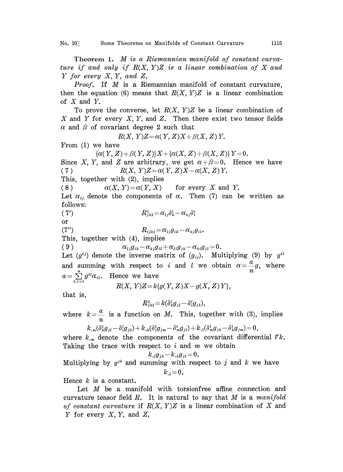Theorem 1. M is a Riemannian manifold of constant curvature if and only if  $R(X, Y)Z$  is a linear combination of X and Y for every X, Y, and Z.

*Proof.* If  $M$  is a Riemannian manifold of constant curvature, then the equation (6) means that  $R(X, Y)Z$  is a linear combination of  $X$  and  $Y$ .

To prove the converse, let  $R(X, Y)Z$  be a linear combination of X and Y for every  $X, Y$ , and Z. Then there exist two tensor fields  $\alpha$  and  $\beta$  of covariant degree 2 such that

$$
R(X, Y)Z = \alpha(Y, Z)X + \beta(X, Z)Y.
$$

From (1) we have

 ${\alpha(Y, Z) + \beta(Y, Z)}\{X + {\alpha(X, Z) + \beta(X, Z)}\}Y = 0.$ 

Since X, Y, and Z are arbitrary, we get  $\alpha+\beta=0$ . Hence we have ( 7 )  $R(X, Y)Z = \alpha(Y, Z)X - \alpha(X, Z)Y$ .

This, together with (2), implies

(8)  $\alpha(X, Y) = \alpha(Y, X)$  for every X and Y.

Let  $\alpha_{ij}$  denote the components of  $\alpha$ . Then (7) can be written as follows: (7')  $R_{jkl}^{i} =$ 

or

(7")  $R_{ijkl} = \alpha_{lj} g_{ik} - \alpha_{kj} g_{il}$ 

This, together with (4), implies<br>
(9)  $\alpha_{ij}g_{ik} - \alpha_{kj}g_{il} + \alpha_{li}g_{jk} - \alpha_{ki}g_{jl} = 0.$ 

(9)  $\alpha_{ij}g_{ik} - \alpha_{kj}g_{il} + \alpha_{li}g_{jk} - \alpha_{ki}g_{il} = 0$ .<br>Let  $(g^{ij})$  denote the inverse matrix of  $(g_{ij})$ . Multiplying (9) by  $g^{il}$ and summing with respect to i and l we obtain  $\alpha = \frac{a}{n}g$ , where  $a = \sum_{i,l=1}^{n} g^{il} \alpha_{il}$ . Hence we have

$$
R(X, Y)Z = k\{g(Y, Z)X - g(X, Z)Y\},\
$$

that is,

$$
R^i_{jkl}\!=\!k(\delta^i_k g_{jl}\!-\!\delta^i_l g_{jk}),
$$

where  $k = -\frac{a}{n}$  is a function on M. This, together with (3), implies

$$
k_{\cdot m}(\delta_k^ig_{j1}-\delta_l^ig_{jk})+k_{\cdot k}(\delta_l^ig_{jm}-\delta_m^ig_{jl})+k_{\cdot l}(\delta_m^ig_{jk}-\delta_k^ig_{jm})=0,
$$

where  $k_{m}$  denote the components of the covariant differential  $\bar{v}k$ . Taking the trace with respect to  $i$  and  $m$  we obtain

$$
k_{, \iota} g_{\scriptscriptstyle jk} \!-\! k_{\scriptscriptstyle \cdot k} g_{\scriptscriptstyle jl} \!=\! 0.
$$

Multiplying by  $g^{jk}$  and summing with respect to j and k we have  $k_{,i} = 0$ .

Hence  $k$  is a constant.

Let M be a manifold with torsionfree affine connection and curvature tensor field  $R$ . It is natural to say that  $M$  is a *manifold* of constant curvature if  $R(X, Y)Z$  is a linear combination of X and Y for every  $X, Y$ , and  $Z$ .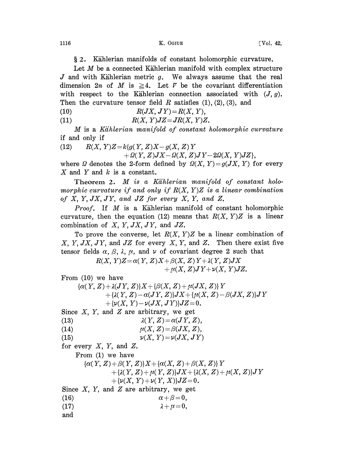§ 2. Kählerian manifolds of constant holomorphic curvature.

Let  $M$  be a connected Kählerian manifold with complex structure J and with Kählerian metric  $g$ . We always assume that the real dimension  $2n$  of M is  $\geq 4$ . Let V be the covariant differentiation with respect to the Kählerian connection associated with  $(J, g)$ . Then the curvature tensor field R satisfies  $(1)$ ,  $(2)$ ,  $(3)$ , and

(10)  $R(JX, JY) = R(X, Y),$ 

(11)  $R(X, Y)JZ = JR(X, Y)Z$ .

M is <sup>a</sup> Kiihlerian manifold of constant holomorphic curvature if and only if

(12) 
$$
R(X, Y)Z = k\{g(Y, Z)X - g(X, Z)Y
$$

 $+ \Omega(Y, Z)JX - \Omega(X, Z)JY - 2\Omega(X, Y)JZ\},$ 

where  $\Omega$  denotes the 2-form defined by  $\Omega(X, Y) = g(JX, Y)$  for every  $X$  and  $Y$  and  $k$  is a constant.

Theorem 2. M is a Kählerian manifold of constant holomorphic curvature if and only if  $R(X, Y)Z$  is a linear combination of  $X, Y, JX, JY, and JZ$  for every  $X, Y, and Z$ .

**Proof.** If  $M$  is a Kählerian manifold of constant holomorphic curvature, then the equation (12) means that  $R(X, Y)Z$  is a linear combination of  $X, Y, JX, JY$ , and  $JZ$ .

To prove the converse, let  $R(X, Y)Z$  be a linear combination of X, Y, JX, JY, and JZ for every X, Y, and Z. Then there exist five tensor fields  $\alpha$ ,  $\beta$ ,  $\lambda$ ,  $\mu$ , and  $\nu$  of covariant degree 2 such that

> $R(X, Y)Z = \alpha(Y, Z)X + \beta(X, Z)Y + \lambda(Y, Z)JX$  $+\mu(X, Z)JY+\nu(X, Y)JZ.$

From (10) we have

 ${\alpha(Y,Z) + \lambda(JY,Z)}\{X+\{\beta(X,Z) + \mu(JX,Z)\}Y$  $+\{\lambda(Y,Z)-\alpha(JY,Z)\}JX+\{\mu(X,Z)-\beta(JX,Z)\}JY$  $+ \{\nu(X, Y) - \nu(JX, JY)\}JZ = 0.$ 

Since  $X$ ,  $Y$ , and  $Z$  are arbitrary, we get

(13)  $\lambda(Y, Z) = \alpha(JY, Z),$ 

- (14)  $\mu(X, Z) = \beta(JX, Z),$
- (15)  $\nu(X, Y) = \nu(JX, JY)$

for every  $X$ ,  $Y$ , and  $Z$ .

From (1) we have

$$
{\alpha(Y,Z)+\beta(Y,Z)\}X+{\alpha(X,Z)+\beta(X,Z)\}Y\\+\{\lambda(Y,Z)+\mu(Y,Z)\}JX+\{\lambda(X,Z)+\mu(X,Z)\}JY\\+\{\nu(X,Y)+\nu(Y,X)\}JZ=0.
$$

Since  $X$ ,  $Y$ , and  $Z$  are arbitrary, we get

- (16)  $\alpha + \beta = 0,$
- (17)  $\lambda + \mu = 0,$
- and